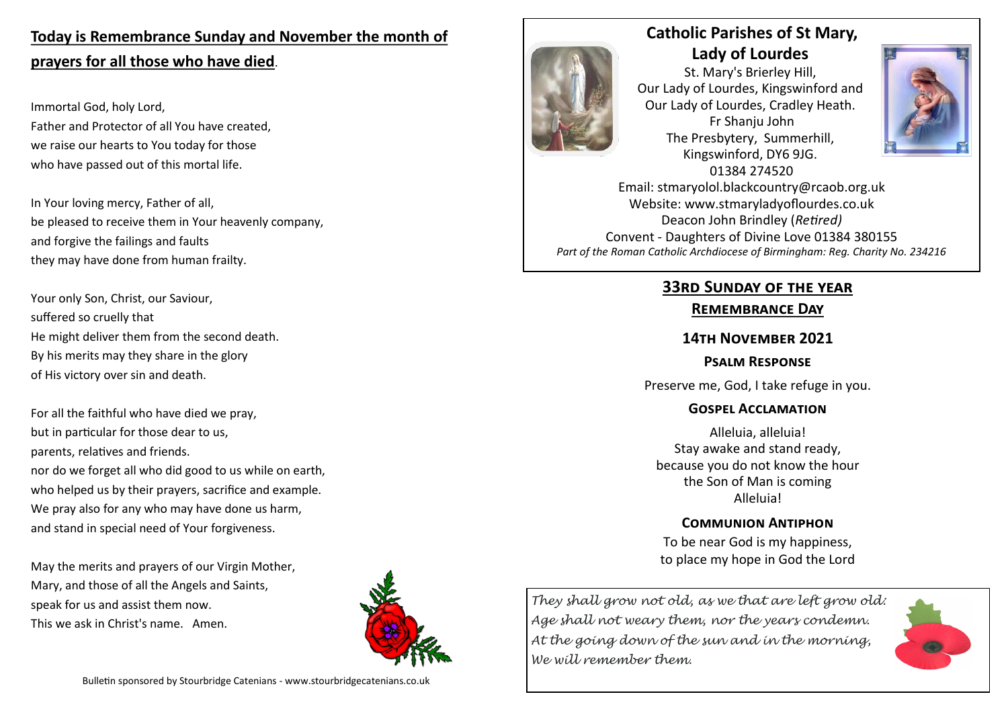## **Today is Remembrance Sunday and November the month of prayers for all those who have died**.

Immortal God, holy Lord, Father and Protector of all You have created, we raise our hearts to You today for those who have passed out of this mortal life.

In Your loving mercy, Father of all, be pleased to receive them in Your heavenly company, and forgive the failings and faults they may have done from human frailty.

Your only Son, Christ, our Saviour, suffered so cruelly that He might deliver them from the second death. By his merits may they share in the glory of His victory over sin and death.

For all the faithful who have died we pray, but in particular for those dear to us, parents, relatives and friends. nor do we forget all who did good to us while on earth, who helped us by their prayers, sacrifice and example. We pray also for any who may have done us harm, and stand in special need of Your forgiveness.

May the merits and prayers of our Virgin Mother, Mary, and those of all the Angels and Saints, speak for us and assist them now. This we ask in Christ's name. Amen.





## **Catholic Parishes of St Mary, Lady of Lourdes**

St. Mary's Brierley Hill, Our Lady of Lourdes, Kingswinford and Our Lady of Lourdes, Cradley Heath. Fr Shanju John The Presbytery, Summerhill, Kingswinford, DY6 9JG. 01384 274520



Email: stmaryolol.blackcountry@rcaob.org.uk Website: www.stmaryladyoflourdes.co.uk Deacon John Brindley (*Retired)* Convent - Daughters of Divine Love 01384 380155 *Part of the Roman Catholic Archdiocese of Birmingham: Reg. Charity No. 234216*

## **33rd Sunday of the year**

#### **Remembrance Day**

## **14th November 2021**

#### **Psalm Response**

Preserve me, God, I take refuge in you.

#### **Gospel Acclamation**

Alleluia, alleluia! Stay awake and stand ready, because you do not know the hour the Son of Man is coming Alleluia!

### **Communion Antiphon**

To be near God is my happiness, to place my hope in God the Lord

*They shall grow not old, as we that are left grow old: Age shall not weary them, nor the years condemn. At the going down of the sun and in the morning, We will remember them.*